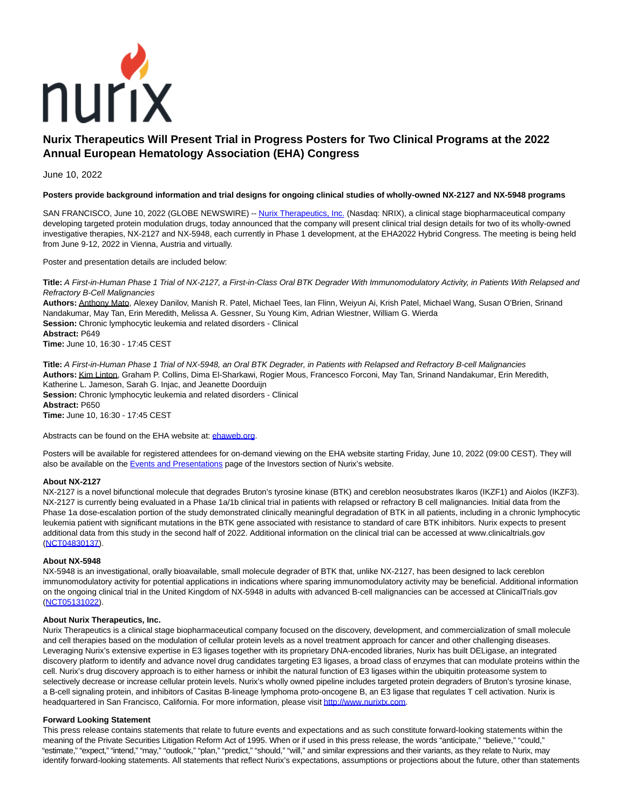

# **Nurix Therapeutics Will Present Trial in Progress Posters for Two Clinical Programs at the 2022 Annual European Hematology Association (EHA) Congress**

## June 10, 2022

## **Posters provide background information and trial designs for ongoing clinical studies of wholly-owned NX-2127 and NX-5948 programs**

SAN FRANCISCO, June 10, 2022 (GLOBE NEWSWIRE) -[- Nurix Therapeutics, Inc. \(](https://www.globenewswire.com/Tracker?data=NGBTS5ZAz9cn7w23o-VLD302JpWVjsjpFdTy0Dyj_AN7RqfmBt09OW1JK_Qh75wazv78KiVh9QJgUeu_bryNynh69RayTYYhYw5UJkpQnTI=)Nasdaq: NRIX), a clinical stage biopharmaceutical company developing targeted protein modulation drugs, today announced that the company will present clinical trial design details for two of its wholly-owned investigative therapies, NX-2127 and NX-5948, each currently in Phase 1 development, at the EHA2022 Hybrid Congress. The meeting is being held from June 9-12, 2022 in Vienna, Austria and virtually.

Poster and presentation details are included below:

**Title:** A First-in-Human Phase 1 Trial of NX-2127, a First-in-Class Oral BTK Degrader With Immunomodulatory Activity, in Patients With Relapsed and Refractory B-Cell Malignancies

**Authors:** Anthony Mato, Alexey Danilov, Manish R. Patel, Michael Tees, Ian Flinn, Weiyun Ai, Krish Patel, Michael Wang, Susan O'Brien, Srinand Nandakumar, May Tan, Erin Meredith, Melissa A. Gessner, Su Young Kim, Adrian Wiestner, William G. Wierda **Session:** Chronic lymphocytic leukemia and related disorders - Clinical **Abstract:** P649 **Time:** June 10, 16:30 - 17:45 CEST

**Title:** A First-in-Human Phase 1 Trial of NX-5948, an Oral BTK Degrader, in Patients with Relapsed and Refractory B-cell Malignancies **Authors:** Kim Linton, Graham P. Collins, Dima El-Sharkawi, Rogier Mous, Francesco Forconi, May Tan, Srinand Nandakumar, Erin Meredith, Katherine L. Jameson, Sarah G. Injac, and Jeanette Doorduijn **Session:** Chronic lymphocytic leukemia and related disorders - Clinical **Abstract:** P650

**Time:** June 10, 16:30 - 17:45 CEST

Abstracts can be found on the EHA website at: chaweb.org.

Posters will be available for registered attendees for on-demand viewing on the EHA website starting Friday, June 10, 2022 (09:00 CEST). They will also be available on th[e Events and Presentations p](https://www.globenewswire.com/Tracker?data=yk01WGuWR4SZTCoPedR77udrm57GC3Bi2cgtHIcEoX6qzZPO4pEI3xnkdqKt2r9O9zE5qiHBV6AKD5BXiTymi6bNSr8i_RBDU6ttZ45-eOVcuSeDYmtrj9eSLLCTeGDVfigjrrfn2d8D8TupIIRqVA==)age of the Investors section of Nurix's website.

## **About NX-2127**

NX-2127 is a novel bifunctional molecule that degrades Bruton's tyrosine kinase (BTK) and cereblon neosubstrates Ikaros (IKZF1) and Aiolos (IKZF3). NX-2127 is currently being evaluated in a Phase 1a/1b clinical trial in patients with relapsed or refractory B cell malignancies. Initial data from the Phase 1a dose-escalation portion of the study demonstrated clinically meaningful degradation of BTK in all patients, including in a chronic lymphocytic leukemia patient with significant mutations in the BTK gene associated with resistance to standard of care BTK inhibitors. Nurix expects to present additional data from this study in the second half of 2022. Additional information on the clinical trial can be accessed at www.clinicaltrials.gov [\(NCT04830137\).](https://www.globenewswire.com/Tracker?data=XUxJYxEEwfpYILi7jpDiDtXLG3A2fcBw9NF3I4RvIlctyV-UZxskjM2WyJWbLmuDljwLqpFa6fmcvrtGFQm0y47gy0fSvKPZIJ_BERN2XKg=)

### **About NX-5948**

NX-5948 is an investigational, orally bioavailable, small molecule degrader of BTK that, unlike NX-2127, has been designed to lack cereblon immunomodulatory activity for potential applications in indications where sparing immunomodulatory activity may be beneficial. Additional information on the ongoing clinical trial in the United Kingdom of NX-5948 in adults with advanced B-cell malignancies can be accessed at ClinicalTrials.gov [\(NCT05131022\).](https://www.globenewswire.com/Tracker?data=bpwZ_3I6y-yL1gF1jVDrlir4DjXGwgCWb4iXQWvoJ5iN0uhf-yKgsjqizNsCSOHs831nUlLawwTqJvAt1x5zVYXsBUOnhDgGLT0WghJMNgA=)

## **About Nurix Therapeutics, Inc.**

Nurix Therapeutics is a clinical stage biopharmaceutical company focused on the discovery, development, and commercialization of small molecule and cell therapies based on the modulation of cellular protein levels as a novel treatment approach for cancer and other challenging diseases. Leveraging Nurix's extensive expertise in E3 ligases together with its proprietary DNA-encoded libraries, Nurix has built DELigase, an integrated discovery platform to identify and advance novel drug candidates targeting E3 ligases, a broad class of enzymes that can modulate proteins within the cell. Nurix's drug discovery approach is to either harness or inhibit the natural function of E3 ligases within the ubiquitin proteasome system to selectively decrease or increase cellular protein levels. Nurix's wholly owned pipeline includes targeted protein degraders of Bruton's tyrosine kinase, a B-cell signaling protein, and inhibitors of Casitas B-lineage lymphoma proto-oncogene B, an E3 ligase that regulates T cell activation. Nurix is headquartered in San Francisco, California. For more information, please visit [http://www.nurixtx.com.](https://www.globenewswire.com/Tracker?data=DZbuHwnIpTYm65aI6n51quvdy_ERxqL3A_jude-I4Kx0BpO7dXh36guE6IDLVHub0nnCBQvgd3-SdJLAspDSfb-ayFpjIvn_ljYAmkn1tdQ=)

## **Forward Looking Statement**

This press release contains statements that relate to future events and expectations and as such constitute forward-looking statements within the meaning of the Private Securities Litigation Reform Act of 1995. When or if used in this press release, the words "anticipate," "believe," "could," "estimate," "expect," "intend," "may," "outlook," "plan," "predict," "should," "will," and similar expressions and their variants, as they relate to Nurix, may identify forward-looking statements. All statements that reflect Nurix's expectations, assumptions or projections about the future, other than statements